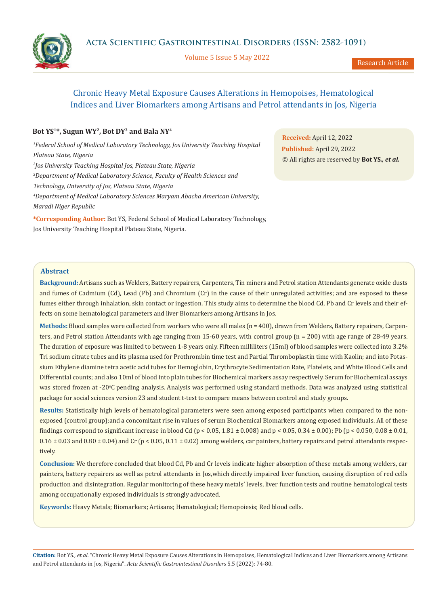Volume 5 Issue 5 May 2022

# Chronic Heavy Metal Exposure Causes Alterations in Hemopoises, Hematological Indices and Liver Biomarkers among Artisans and Petrol attendants in Jos, Nigeria

## **Bot YS1\*, Sugun WY2, Bot DY3 and Bala NY4**

<sup>1</sup> Federal School of Medical Laboratory Technology, Jos University Teaching Hospital *Plateau State, Nigeria 2 Jos University Teaching Hospital Jos, Plateau State, Nigeria 3 Department of Medical Laboratory Science, Faculty of Health Sciences and Technology, University of Jos, Plateau State, Nigeria 4 Department of Medical Laboratory Sciences Maryam Abacha American University, Maradi Niger Republic*

**\*Corresponding Author:** Bot YS, Federal School of Medical Laboratory Technology, Jos University Teaching Hospital Plateau State, Nigeria.

**Received:** April 12, 2022 **Published:** April 29, 2022 © All rights are reserved by **Bot YS***., et al.*

## **Abstract**

**Background:** Artisans such as Welders, Battery repairers, Carpenters, Tin miners and Petrol station Attendants generate oxide dusts and fumes of Cadmium (Cd), Lead (Pb) and Chromium (Cr) in the cause of their unregulated activities; and are exposed to these fumes either through inhalation, skin contact or ingestion. This study aims to determine the blood Cd, Pb and Cr levels and their effects on some hematological parameters and liver Biomarkers among Artisans in Jos.

**Methods:** Blood samples were collected from workers who were all males (n = 400), drawn from Welders, Battery repairers, Carpenters, and Petrol station Attendants with age ranging from 15-60 years, with control group (n = 200) with age range of 28-49 years. The duration of exposure was limited to between 1-8 years only. Fifteen milliliters (15ml) of blood samples were collected into 3.2% Tri sodium citrate tubes and its plasma used for Prothrombin time test and Partial Thromboplastin time with Kaolin; and into Potassium Ethylene diamine tetra acetic acid tubes for Hemoglobin, Erythrocyte Sedimentation Rate, Platelets, and White Blood Cells and Differential counts; and also 10ml of blood into plain tubes for Biochemical markers assay respectively. Serum for Biochemical assays was stored frozen at -20°C pending analysis. Analysis was performed using standard methods. Data was analyzed using statistical package for social sciences version 23 and student t-test to compare means between control and study groups.

**Results:** Statistically high levels of hematological parameters were seen among exposed participants when compared to the nonexposed (control group);and a concomitant rise in values of serum Biochemical Biomarkers among exposed individuals. All of these findings correspond to significant increase in blood Cd (p < 0.05, 1.81  $\pm$  0.008) and p < 0.05, 0.34  $\pm$  0.00); Pb (p < 0.050, 0.08  $\pm$  0.01,  $0.16 \pm 0.03$  and  $0.80 \pm 0.04$ ) and Cr (p < 0.05, 0.11  $\pm$  0.02) among welders, car painters, battery repairs and petrol attendants respectively.

**Conclusion:** We therefore concluded that blood Cd, Pb and Cr levels indicate higher absorption of these metals among welders, car painters, battery repairers as well as petrol attendants in Jos,which directly impaired liver function, causing disruption of red cells production and disintegration. Regular monitoring of these heavy metals' levels, liver function tests and routine hematological tests among occupationally exposed individuals is strongly advocated.

**Keywords:** Heavy Metals; Biomarkers; Artisans; Hematological; Hemopoiesis; Red blood cells.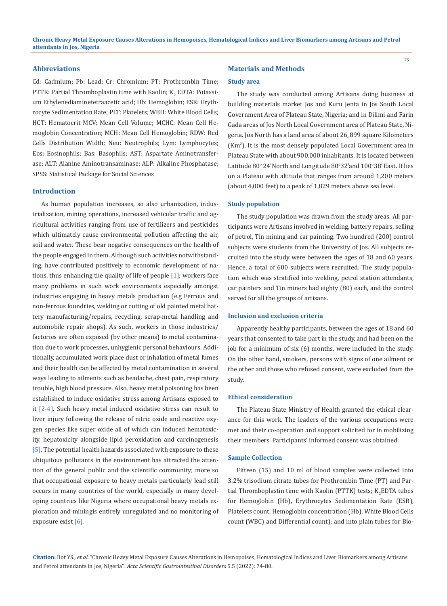## **Abbreviations**

Cd: Cadmium; Pb: Lead; Cr: Chromium; PT: Prothrombin Time; PTTK: Partial Thromboplastin time with Kaolin;  $\mathrm{K}_2$  EDTA: Potassium Ethylenediaminetetraacetic acid; Hb: Hemoglobin; ESR: Erythrocyte Sedimentation Rate; PLT: Platelets; WBH: White Blood Cells; HCT: Hematocrit MCV: Mean Cell Volume; MCHC: Mean Cell Hemoglobin Concentration; MCH: Mean Cell Hemoglobin; RDW: Red Cells Distribution Width; Neu: Neutrophils; Lym: Lymphocytes; Eos: Eosinophils; Bas: Basophils; AST: Aspartate Aminotransferase; ALT: Alanine Aminotransaminase; ALP: Alkaline Phosphatase; SPSS: Statistical Package for Social Sciences

#### **Introduction**

As human population increases, so also urbanization, industrialization, mining operations, increased vehicular traffic and agricultural activities ranging from use of fertilizers and pesticides which ultimately cause environmental pollution affecting the air, soil and water. These bear negative consequences on the health of the people engaged in them. Although such activities notwithstanding, have contributed positively to economic development of nations, thus enhancing the quality of life of people  $[1]$ ; workers face many problems in such work environments especially amongst industries engaging in heavy metals production (e.g Ferrous and non-ferrous foundries, welding or cutting of old painted metal battery manufacturing/repairs, recycling, scrap-metal handling and automobile repair shops). As such, workers in those industries/ factories are often exposed (by other means) to metal contamination due to work processes, unhygienic personal behaviours. Additionally, accumulated work place dust or inhalation of metal fumes and their health can be affected by metal contamination in several ways leading to ailments such as headache, chest pain, respiratory trouble, high blood pressure. Also, heavy metal poisoning has been established to induce oxidative stress among Artisans exposed to it [2-4]. Such heavy metal induced oxidative stress can result to liver injury following the release of nitric oxide and reactive oxygen species like super oxide all of which can induced hematoxicity, hepatoxicity alongside lipid peroxidation and carcinogenesis [5]. The potential health hazards associated with exposure to these ubiquitous pollutants in the environment has attracted the attention of the general public and the scientific community; more so that occupational exposure to heavy metals particularly lead still occurs in many countries of the world, especially in many developing countries like Nigeria where occupational heavy metals exploration and miningis entirely unregulated and no monitoring of exposure exist  $[6]$ .

## **Materials and Methods**

#### **Study area**

The study was conducted among Artisans doing business at building materials market Jos and Kuru Jenta in Jos South Local Government Area of Plateau State, Nigeria; and in Dilimi and Farin Gada areas of Jos North Local Government area of Plateau State, Nigeria. Jos North has a land area of about 26, 899 square Kilometers (Km<sup>2</sup> ). It is the most densely populated Local Government area in Plateau State with about 900,000 inhabitants. It is located between Latitude 80° 24'North and Longitude 80°32'and 100°38' East. It lies on a Plateau with altitude that ranges from around 1,200 meters (about 4,000 feet) to a peak of 1,829 meters above sea level.

#### **Study population**

The study population was drawn from the study areas. All participants were Artisans involved in welding, battery repairs, selling of petrol, Tin mining and car painting. Two hundred (200) control subjects were students from the University of Jos. All subjects recruited into the study were between the ages of 18 and 60 years. Hence, a total of 600 subjects were recruited. The study population which was stratified into welding, petrol station attendants, car painters and Tin miners had eighty (80) each, and the control served for all the groups of artisans.

#### **Inclusion and exclusion criteria**

Apparently healthy participants, between the ages of 18 and 60 years that consented to take part in the study, and had been on the job for a minimum of six (6) months, were included in the study. On the other hand, smokers, persons with signs of one ailment or the other and those who refused consent, were excluded from the study.

#### **Ethical consideration**

The Plateau State Ministry of Health granted the ethical clearance for this work. The leaders of the various occupations were met and their co-operation and support solicited for in mobilizing their members. Participants' informed consent was obtained.

#### **Sample Collection**

Fifteen (15) and 10 ml of blood samples were collected into 3.2% trisodium citrate tubes for Prothrombin Time (PT) and Partial Thromboplastin time with Kaolin (PTTK) tests;  $\mathtt{K}_2$ EDTA tubes for Hemoglobin (Hb), Erythrocytes Sedimentation Rate (ESR), Platelets count, Hemoglobin concentration (Hb), White Blood Cells count (WBC) and Differential count); and into plain tubes for Bio-

**Citation:** Bot YS*., et al.* "Chronic Heavy Metal Exposure Causes Alterations in Hemopoises, Hematological Indices and Liver Biomarkers among Artisans and Petrol attendants in Jos, Nigeria". *Acta Scientific Gastrointestinal Disorders* 5.5 (2022): 74-80.

75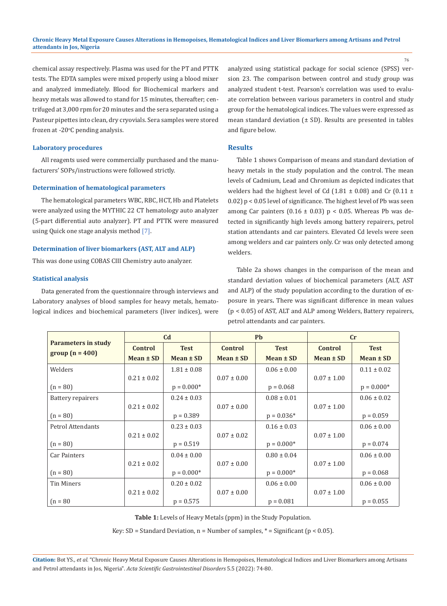76

chemical assay respectively. Plasma was used for the PT and PTTK tests. The EDTA samples were mixed properly using a blood mixer and analyzed immediately. Blood for Biochemical markers and heavy metals was allowed to stand for 15 minutes, thereafter; centrifuged at 3,000 rpm for 20 minutes and the sera separated using a Pasteur pipettes into clean, dry cryovials. Sera samples were stored frozen at - $20^{\circ}$ C pending analysis.

### **Laboratory procedures**

All reagents used were commercially purchased and the manufacturers' SOPs/instructions were followed strictly.

#### **Determination of hematological parameters**

The hematological parameters WBC, RBC, HCT, Hb and Platelets were analyzed using the MYTHIC 22 CT hematology auto analyzer (5-part differential auto analyzer). PT and PTTK were measured using Quick one stage analysis method [7].

## **Determination of liver biomarkers (AST, ALT and ALP)**

This was done using COBAS CIII Chemistry auto analyzer.

#### **Statistical analysis**

Data generated from the questionnaire through interviews and Laboratory analyses of blood samples for heavy metals, hematological indices and biochemical parameters (liver indices), were analyzed using statistical package for social science (SPSS) version 23. The comparison between control and study group was analyzed student t-test. Pearson's correlation was used to evaluate correlation between various parameters in control and study group for the hematological indices. The values were expressed as mean standard deviation (± SD). Results are presented in tables and figure below.

### **Results**

Table 1 shows Comparison of means and standard deviation of heavy metals in the study population and the control. The mean levels of Cadmium, Lead and Chromium as depicted indicates that welders had the highest level of Cd (1.81  $\pm$  0.08) and Cr (0.11  $\pm$ 0.02) p < 0.05 level of significance. The highest level of Pb was seen among Car painters (0.16  $\pm$  0.03) p < 0.05. Whereas Pb was detected in significantly high levels among battery repairers, petrol station attendants and car painters. Elevated Cd levels were seen among welders and car painters only. Cr was only detected among welders.

Table 2a shows changes in the comparison of the mean and standard deviation values of biochemical parameters (ALT, AST and ALP) of the study population according to the duration of exposure in years**.** There was significant difference in mean values (p < 0.05) of AST, ALT and ALP among Welders, Battery repairers, petrol attendants and car painters.

|                     | C <sub>d</sub>  |                 | <b>Pb</b>       |                 | cr              |                 |
|---------------------|-----------------|-----------------|-----------------|-----------------|-----------------|-----------------|
| Parameters in study | <b>Control</b>  | <b>Test</b>     | <b>Control</b>  | <b>Test</b>     | <b>Control</b>  | <b>Test</b>     |
| $group(n = 400)$    | $Mean \pm SD$   | Mean ± SD       | $Mean \pm SD$   | Mean ± SD       | Mean ± SD       | Mean ± SD       |
| Welders             |                 | $1.81 \pm 0.08$ |                 | $0.06 \pm 0.00$ |                 | $0.11 \pm 0.02$ |
|                     | $0.21 \pm 0.02$ |                 | $0.07 \pm 0.00$ |                 | $0.07 \pm 1.00$ |                 |
| $(n = 80)$          |                 | $p = 0.000*$    |                 | $p = 0.068$     |                 | $p = 0.000*$    |
| Battery repairers   |                 | $0.24 \pm 0.03$ |                 | $0.08 \pm 0.01$ |                 | $0.06 \pm 0.02$ |
|                     | $0.21 \pm 0.02$ |                 | $0.07 \pm 0.00$ |                 | $0.07 \pm 1.00$ |                 |
| $(n = 80)$          |                 | $p = 0.389$     |                 | $p = 0.036*$    |                 | $p = 0.059$     |
| Petrol Attendants   |                 | $0.23 \pm 0.03$ |                 | $0.16 \pm 0.03$ |                 | $0.06 \pm 0.00$ |
|                     | $0.21 \pm 0.02$ |                 | $0.07 \pm 0.02$ |                 | $0.07 \pm 1.00$ |                 |
| $(n = 80)$          |                 | $p = 0.519$     |                 | $p = 0.000*$    |                 | $p = 0.074$     |
| Car Painters        |                 | $0.04 \pm 0.00$ |                 | $0.80 \pm 0.04$ |                 | $0.06 \pm 0.00$ |
|                     | $0.21 \pm 0.02$ |                 | $0.07 \pm 0.00$ |                 | $0.07 \pm 1.00$ |                 |
| $(n = 80)$          |                 | $p = 0.000*$    |                 | $p = 0.000*$    |                 | $p = 0.068$     |
| <b>Tin Miners</b>   |                 | $0.20 \pm 0.02$ |                 | $0.06 \pm 0.00$ |                 | $0.06 \pm 0.00$ |
|                     | $0.21 \pm 0.02$ |                 | $0.07 \pm 0.00$ |                 | $0.07 \pm 1.00$ |                 |
| $(n = 80)$          |                 | $p = 0.575$     |                 | $p = 0.081$     |                 | $p = 0.055$     |

**Table 1:** Levels of Heavy Metals (ppm) in the Study Population.

Key: SD = Standard Deviation,  $n =$  Number of samples,  $* =$  Significant ( $p < 0.05$ ).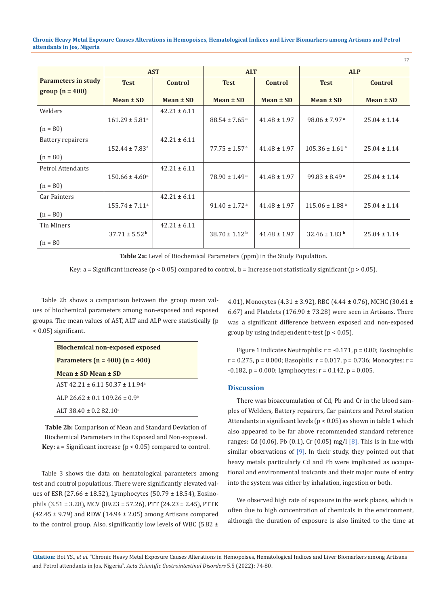**Chronic Heavy Metal Exposure Causes Alterations in Hemopoises, Hematological Indices and Liver Biomarkers among Artisans and Petrol attendants in Jos, Nigeria**

|                     | <b>AST</b>                     |                  | <b>ALT</b>                    |                  | <b>ALP</b>                     |                  |
|---------------------|--------------------------------|------------------|-------------------------------|------------------|--------------------------------|------------------|
| Parameters in study | <b>Test</b>                    | <b>Control</b>   | <b>Test</b>                   | <b>Control</b>   | <b>Test</b>                    | <b>Control</b>   |
| $group (n = 400)$   | $Mean \pm SD$                  | Mean $\pm$ SD    | $Mean \pm SD$                 | $Mean \pm SD$    | Mean ± SD                      | Mean $\pm$ SD    |
|                     |                                |                  |                               |                  |                                |                  |
| Welders             |                                | $42.21 \pm 6.11$ |                               |                  |                                |                  |
|                     | $161.29 \pm 5.81$ <sup>a</sup> |                  | $88.54 \pm 7.65$ <sup>a</sup> | $41.48 \pm 1.97$ | $98.06 \pm 7.97$ <sup>a</sup>  | $25.04 \pm 1.14$ |
| $(n = 80)$          |                                |                  |                               |                  |                                |                  |
| Battery repairers   |                                | $42.21 \pm 6.11$ |                               |                  |                                |                  |
|                     | $152.44 \pm 7.83$ <sup>a</sup> |                  | $77.75 \pm 1.57$ <sup>a</sup> | $41.48 \pm 1.97$ | $105.36 \pm 1.61$ <sup>a</sup> | $25.04 \pm 1.14$ |
| $(n = 80)$          |                                |                  |                               |                  |                                |                  |
| Petrol Attendants   |                                | $42.21 \pm 6.11$ |                               |                  |                                |                  |
|                     | $150.66 \pm 4.60^a$            |                  | $78.90 \pm 1.49^{\text{a}}$   | $41.48 \pm 1.97$ | $99.83 \pm 8.49^{\text{a}}$    | $25.04 \pm 1.14$ |
| $(n = 80)$          |                                |                  |                               |                  |                                |                  |
| Car Painters        |                                | $42.21 \pm 6.11$ |                               |                  |                                |                  |
|                     | $155.74 \pm 7.11^a$            |                  | $91.40 \pm 1.72$ <sup>a</sup> | $41.48 \pm 1.97$ | $115.06 \pm 1.88$ <sup>a</sup> | $25.04 \pm 1.14$ |
| $(n = 80)$          |                                |                  |                               |                  |                                |                  |
| Tin Miners          |                                | $42.21 \pm 6.11$ |                               |                  |                                |                  |
|                     | $37.71 \pm 5.52^{\mathrm{b}}$  |                  | $38.70 \pm 1.12^{\mathrm{b}}$ | $41.48 \pm 1.97$ | $32.46 \pm 1.83^{\mathrm{b}}$  | $25.04 \pm 1.14$ |
| $(n = 80)$          |                                |                  |                               |                  |                                |                  |

**Table 2a:** Level of Biochemical Parameters (ppm) in the Study Population.

Key: a = Significant increase ( $p < 0.05$ ) compared to control,  $b =$  Increase not statistically significant ( $p > 0.05$ ).

Table 2b shows a comparison between the group mean values of biochemical parameters among non-exposed and exposed groups. The mean values of AST, ALT and ALP were statistically (p < 0.05) significant.

| <b>Biochemical non-exposed exposed</b>    |  |  |  |  |
|-------------------------------------------|--|--|--|--|
| Parameters ( $n = 400$ ) ( $n = 400$ )    |  |  |  |  |
| Mean ± SD Mean ± SD                       |  |  |  |  |
| $AST 42.21 + 6.11 50.37 + 11.94^a$        |  |  |  |  |
| ALP 26.62 + 0.1 109.26 + 0.9 <sup>a</sup> |  |  |  |  |
| $AIT 38.40 + 0.282.10a$                   |  |  |  |  |

**Table 2b:** Comparison of Mean and Standard Deviation of Biochemical Parameters in the Exposed and Non-exposed. **Key:**  $a =$  Significant increase ( $p < 0.05$ ) compared to control.

Table 3 shows the data on hematological parameters among test and control populations. There were significantly elevated values of ESR (27.66 ± 18.52), Lymphocytes (50.79 ± 18.54), Eosinophils (3.51 ± 3.28), MCV (89.23 ± 57.26), PTT (24.23 ± 2.45), PTTK  $(42.45 \pm 9.79)$  and RDW  $(14.94 \pm 2.05)$  among Artisans compared to the control group. Also, significantly low levels of WBC (5.82  $\pm$  4.01), Monocytes (4.31 ± 3.92), RBC (4.44 ± 0.76), MCHC (30.61 ± 6.67) and Platelets (176.90  $\pm$  73.28) were seen in Artisans. There was a significant difference between exposed and non-exposed group by using independent t-test (p < 0.05).

77

Figure 1 indicates Neutrophils:  $r = -0.171$ ,  $p = 0.00$ ; Eosinophils:  $r = 0.275$ ,  $p = 0.000$ ; Basophils:  $r = 0.017$ ,  $p = 0.736$ ; Monocytes:  $r =$  $-0.182$ ,  $p = 0.000$ ; Lymphocytes:  $r = 0.142$ ,  $p = 0.005$ .

### **Discussion**

There was bioaccumulation of Cd, Pb and Cr in the blood samples of Welders, Battery repairers, Car painters and Petrol station Attendants in significant levels ( $p < 0.05$ ) as shown in table 1 which also appeared to be far above recommended standard reference ranges: Cd (0.06), Pb (0.1), Cr (0.05) mg/l [8]. This is in line with similar observations of [9]. In their study, they pointed out that heavy metals particularly Cd and Pb were implicated as occupational and environmental toxicants and their major route of entry into the system was either by inhalation, ingestion or both.

We observed high rate of exposure in the work places, which is often due to high concentration of chemicals in the environment, although the duration of exposure is also limited to the time at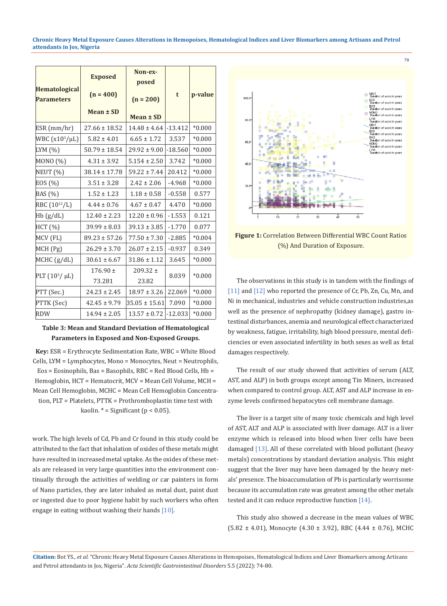**Chronic Heavy Metal Exposure Causes Alterations in Hemopoises, Hematological Indices and Liver Biomarkers among Artisans and Petrol attendants in Jos, Nigeria**

|                                    | <b>Exposed</b>         | Non-ex-<br>posed      | t         | p-value  |
|------------------------------------|------------------------|-----------------------|-----------|----------|
| Hematological<br><b>Parameters</b> | $(n = 400)$            | $(n = 200)$           |           |          |
|                                    | Mean $\pm$ SD          | $Mean \pm SD$         |           |          |
| ESR (mm/hr)                        | $27.66 \pm 18.52$      | $14.48 \pm 4.64$      | $-13.412$ | $*0.000$ |
| WBC $(x10^3/\mu L)$                | $5.82 \pm 4.01$        | $6.65 \pm 1.72$       | 3.537     | $*0.000$ |
| LYM $(%)$                          | $50.79 \pm 18.54$      | $29.92 \pm 9.00$      | $-18.560$ | $*0.000$ |
| MONO (%)                           | $4.31 \pm 3.92$        | $5.154 \pm 2.50$      | 3.742     | $*0.000$ |
| NEUT (%)                           | $38.14 \pm 17.78$      | $59.22 \pm 7.44$      | 20.412    | $*0.000$ |
| EOS (%)                            | $3.51 \pm 3.28$        | $2.42 \pm 2.06$       | $-4.968$  | $*0.000$ |
| BAS (%)                            | $1.52 \pm 1.23$        | $1.18 \pm 0.58$       | $-0.558$  | 0.577    |
| RBC $(10^{12}/L)$                  | $4.44 \pm 0.76$        | $4.67 \pm 0.47$       | 4.470     | $*0.000$ |
| Hb(g/dL)                           | $12.40 \pm 2.23$       | $12.20 \pm 0.96$      | $-1.553$  | 0.121    |
| HCT (%)                            | $39.99 \pm 8.03$       | $39.13 \pm 3.85$      | $-1.770$  | 0.077    |
| MCV (FL)                           | $89.23 \pm 57.26$      | $77.50 \pm 7.30$      | $-2.885$  | $*0.004$ |
| MCH (Pg)                           | $26.29 \pm 3.70$       | $26.07 \pm 2.15$      | $-0.937$  | 0.349    |
| MCHC (g/dL)                        | $30.61 \pm 6.67$       | $31.86 \pm 1.12$      | 3.645     | $*0.000$ |
| PLT $(10^3/\mu L)$                 | $176.90 \pm$<br>73.281 | $209.32 \pm$<br>23.82 | 8.039     | $*0.000$ |
| PTT (Sec.)                         | $24.23 \pm 2.45$       | $18.97 \pm 3.26$      | 22.069    | $*0.000$ |
| PTTK (Sec)                         | $42.45 \pm 9.79$       | $35.05 \pm 15.61$     | 7.090     | $*0.000$ |
| <b>RDW</b>                         | $14.94 \pm 2.05$       | $13.57 \pm 0.72$      | $-12.033$ | $*0.000$ |

## **Table 3: Mean and Standard Deviation of Hematological Parameters in Exposed and Non-Exposed Groups.**

**Key:** ESR = Erythrocyte Sedimentation Rate, WBC = White Blood Cells, LYM = Lymphocytes, Mono = Monocytes, Neut = Neutrophils, Eos = Eosinophils, Bas = Basophils, RBC = Red Blood Cells, Hb = Hemoglobin, HCT = Hematocrit, MCV = Mean Cell Volume, MCH = Mean Cell Hemoglobin, MCHC = Mean Cell Hemoglobin Concentration, PLT = Platelets, PTTK = Prothromboplastin time test with

kaolin.  $* =$  Significant ( $p < 0.05$ ).

work. The high levels of Cd, Pb and Cr found in this study could be attributed to the fact that inhalation of oxides of these metals might have resulted in increased metal uptake. As the oxides of these metals are released in very large quantities into the environment continually through the activities of welding or car painters in form of Nano particles, they are later inhaled as metal dust, paint dust or ingested due to poor hygiene habit by such workers who often engage in eating without washing their hands [10].



**Figure 1:** Correlation Between Differential WBC Count Ratios (%) And Duration of Exposure.

The observations in this study is in tandem with the findings of [11] and [12] who reported the presence of Cr, Pb, Zn, Cu, Mn, and Ni in mechanical, industries and vehicle construction industries,as well as the presence of nephropathy (kidney damage), gastro intestinal disturbances, anemia and neurological effect characterized by weakness, fatigue, irritability, high blood pressure, mental deficiencies or even associated infertility in both sexes as well as fetal damages respectively.

The result of our study showed that activities of serum (ALT, AST, and ALP) in both groups except among Tin Miners, increased when compared to control group. ALT, AST and ALP increase in enzyme levels confirmed hepatocytes cell membrane damage.

The liver is a target site of many toxic chemicals and high level of AST, ALT and ALP is associated with liver damage. ALT is a liver enzyme which is released into blood when liver cells have been damaged [13]. All of these correlated with blood pollutant (heavy metals) concentrations by standard deviation analysis. This might suggest that the liver may have been damaged by the heavy metals' presence. The bioaccumulation of Pb is particularly worrisome because its accumulation rate was greatest among the other metals tested and it can reduce reproductive function [14].

This study also showed a decrease in the mean values of WBC (5.82 ± 4.01), Monocyte (4.30 ± 3.92), RBC (4.44 ± 0.76), MCHC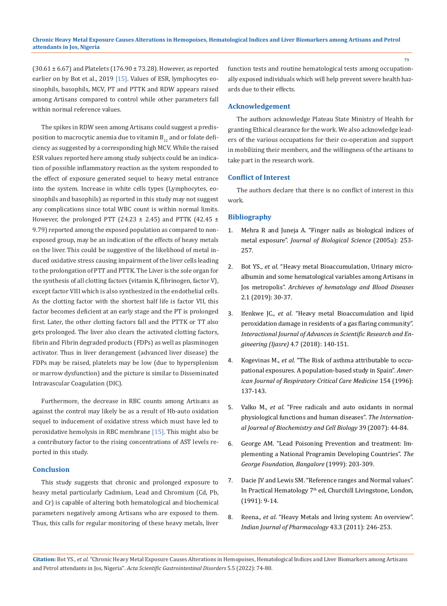$(30.61 \pm 6.67)$  and Platelets  $(176.90 \pm 73.28)$ . However, as reported earlier on by Bot et al., 2019 [15]. Values of ESR, lymphocytes eosinophils, basophils, MCV, PT and PTTK and RDW appears raised among Artisans compared to control while other parameters fall within normal reference values.

The spikes in RDW seen among Artisans could suggest a predisposition to macrocytic anemia due to vitamin  $B_{12}$  and or folate deficiency as suggested by a corresponding high MCV. While the raised ESR values reported here among study subjects could be an indication of possible inflammatory reaction as the system responded to the effect of exposure generated sequel to heavy metal entrance into the system. Increase in white cells types (Lymphocytes, eosinophils and basophils) as reported in this study may not suggest any complications since total WBC count is within normal limits. However, the prolonged PTT (24.23  $\pm$  2.45) and PTTK (42.45  $\pm$ 9.79) reported among the exposed population as compared to nonexposed group, may be an indication of the effects of heavy metals on the liver. This could be suggestive of the likelihood of metal induced oxidative stress causing impairment of the liver cells leading to the prolongation of PTT and PTTK. The Liver is the sole organ for the synthesis of all clotting factors (vitamin K, fibrinogen, factor V), except factor VIII which is also synthesized in the endothelial cells. As the clotting factor with the shortest half life is factor VII, this factor becomes deficient at an early stage and the PT is prolonged first. Later, the other clotting factors fall and the PTTK or TT also gets prolonged. The liver also clears the activated clotting factors, fibrin and Fibrin degraded products (FDPs) as well as plasminogen activator. Thus in liver derangement (advanced liver disease) the FDPs may be raised, platelets may be low (due to hypersplenism or marrow dysfunction) and the picture is similar to Disseminated Intravascular Coagulation (DIC).

Furthermore, the decrease in RBC counts among Artisans as against the control may likely be as a result of Hb-auto oxidation sequel to inducement of oxidative stress which must have led to peroxidative hemolysis in RBC membrane [15]. This might also be a contributory factor to the rising concentrations of AST levels reported in this study.

## **Conclusion**

This study suggests that chronic and prolonged exposure to heavy metal particularly Cadmium, Lead and Chromium (Cd, Pb, and Cr) is capable of altering both hematological and biochemical parameters negatively among Artisans who are exposed to them. Thus, this calls for regular monitoring of these heavy metals, liver function tests and routine hematological tests among occupationally exposed individuals which will help prevent severe health hazards due to their effects.

## **Acknowledgement**

The authors acknowledge Plateau State Ministry of Health for granting Ethical clearance for the work. We also acknowledge leaders of the various occupations for their co-operation and support in mobilizing their members, and the willingness of the artisans to take part in the research work.

#### **Conflict of Interest**

The authors declare that there is no conflict of interest in this work.

#### **Bibliography**

- 1. [Mehra R and Juneja A. "Finger nails as biological indices of](https://link.springer.com/article/10.1007/BF02703706) metal exposure". *[Journal of Biological Science](https://link.springer.com/article/10.1007/BF02703706)* (2005a): 253- [257.](https://link.springer.com/article/10.1007/BF02703706)
- 2. Bot YS., *et al*[. "Heavy metal Bioaccumulation, Urinary micro](http://www.sryahwapublications.com/archives-of-hematology-and-blood-diseases/pdf/v2-i1/5.pdf)[albumin and some hematological variables among Artisans in](http://www.sryahwapublications.com/archives-of-hematology-and-blood-diseases/pdf/v2-i1/5.pdf) Jos metropolis". *[Archieves of hematology and Blood Diseases](http://www.sryahwapublications.com/archives-of-hematology-and-blood-diseases/pdf/v2-i1/5.pdf)* [2.1 \(2019\): 30-37.](http://www.sryahwapublications.com/archives-of-hematology-and-blood-diseases/pdf/v2-i1/5.pdf)
- 3. Ifenkwe JC., *et al*[. "Heavy metal Bioaccumulation and lipid](https://www.researchgate.net/publication/326809538_Heavy_Metal_Bioaccumulation_and_Lipid_Peroxidation_Damage_in_Residents_of_a_Gas_Flaring_Community) [peroxidation damage in residents of a gas flaring community".](https://www.researchgate.net/publication/326809538_Heavy_Metal_Bioaccumulation_and_Lipid_Peroxidation_Damage_in_Residents_of_a_Gas_Flaring_Community) *[Interactional Journal of Advances in Scientific Research and En](https://www.researchgate.net/publication/326809538_Heavy_Metal_Bioaccumulation_and_Lipid_Peroxidation_Damage_in_Residents_of_a_Gas_Flaring_Community)gineering (Ijasre)* [4.7 \(2018\): 140-151.](https://www.researchgate.net/publication/326809538_Heavy_Metal_Bioaccumulation_and_Lipid_Peroxidation_Damage_in_Residents_of_a_Gas_Flaring_Community)
- 4. Kogevinas M., *et al*[. "The Risk of asthma attributable to occu](https://pubmed.ncbi.nlm.nih.gov/8680669/)[pational exposures. A population-based study in Spain".](https://pubmed.ncbi.nlm.nih.gov/8680669/) *Amer[ican Journal of Respiratory Critical Care Medicine](https://pubmed.ncbi.nlm.nih.gov/8680669/)* 154 (1996): [137-143.](https://pubmed.ncbi.nlm.nih.gov/8680669/)
- 5. Valko M., *et al*[. "Free radicals and auto oxidants in normal](https://pubmed.ncbi.nlm.nih.gov/16978905/) [physiological functions and human diseases".](https://pubmed.ncbi.nlm.nih.gov/16978905/) *The Internation[al Journal of Biochemistry and Cell Biology](https://pubmed.ncbi.nlm.nih.gov/16978905/)* 39 (2007): 44-84.
- 6. [George AM. "Lead Poisoning Prevention and treatment: Im](https://books.google.co.in/books/about/Lead_Poisoning_Prevention_Treatment.html?id=fi7vngEACAAJ&redir_esc=y)[plementing a National Programin Developing Countries".](https://books.google.co.in/books/about/Lead_Poisoning_Prevention_Treatment.html?id=fi7vngEACAAJ&redir_esc=y) *The [George Foundation, Bangalore](https://books.google.co.in/books/about/Lead_Poisoning_Prevention_Treatment.html?id=fi7vngEACAAJ&redir_esc=y)* (1999): 203-309.
- 7. Dacie JV and Lewis SM. "Reference ranges and Normal values". In Practical Hematology 7<sup>th</sup> ed, Churchill Livingstone, London, (1991): 9-14.
- 8. Reena., *et al*[. "Heavy Metals and living system: An overview".](https://pubmed.ncbi.nlm.nih.gov/21713085/) *[Indian Journal of Pharmacology](https://pubmed.ncbi.nlm.nih.gov/21713085/)* 43.3 (2011): 246-253.

**Citation:** Bot YS*., et al.* "Chronic Heavy Metal Exposure Causes Alterations in Hemopoises, Hematological Indices and Liver Biomarkers among Artisans and Petrol attendants in Jos, Nigeria". *Acta Scientific Gastrointestinal Disorders* 5.5 (2022): 74-80.

79